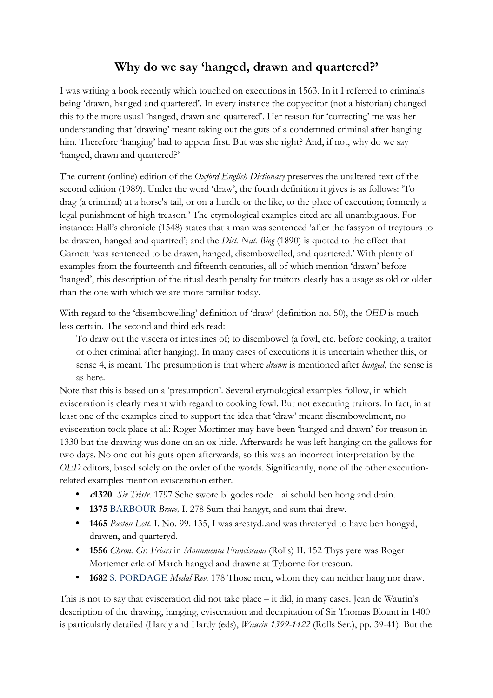## **Why do we say 'hanged, drawn and quartered?'**

I was writing a book recently which touched on executions in 1563. In it I referred to criminals being 'drawn, hanged and quartered'. In every instance the copyeditor (not a historian) changed this to the more usual 'hanged, drawn and quartered'. Her reason for 'correcting' me was her understanding that 'drawing' meant taking out the guts of a condemned criminal after hanging him. Therefore 'hanging' had to appear first. But was she right? And, if not, why do we say 'hanged, drawn and quartered?'

The current (online) edition of the *Oxford English Dictionary* preserves the unaltered text of the second edition (1989). Under the word 'draw', the fourth definition it gives is as follows: 'To drag (a criminal) at a horse's tail, or on a hurdle or the like, to the place of execution; formerly a legal punishment of high treason.' The etymological examples cited are all unambiguous. For instance: Hall's chronicle (1548) states that a man was sentenced 'after the fassyon of treytours to be drawen, hanged and quartred'; and the *Dict. Nat. Biog* (1890) is quoted to the effect that Garnett 'was sentenced to be drawn, hanged, disembowelled, and quartered.' With plenty of examples from the fourteenth and fifteenth centuries, all of which mention 'drawn' before 'hanged', this description of the ritual death penalty for traitors clearly has a usage as old or older than the one with which we are more familiar today.

With regard to the 'disembowelling' definition of 'draw' (definition no. 50), the *OED* is much less certain. The second and third eds read:

To draw out the viscera or intestines of; to disembowel (a fowl, etc. before cooking, a traitor or other criminal after hanging). In many cases of executions it is uncertain whether this, or sense 4, is meant. The presumption is that where *drawn* is mentioned after *hanged*, the sense is as here.

Note that this is based on a 'presumption'. Several etymological examples follow, in which evisceration is clearly meant with regard to cooking fowl. But not executing traitors. In fact, in at least one of the examples cited to support the idea that 'draw' meant disembowelment, no evisceration took place at all: Roger Mortimer may have been 'hanged and drawn' for treason in 1330 but the drawing was done on an ox hide. Afterwards he was left hanging on the gallows for two days. No one cut his guts open afterwards, so this was an incorrect interpretation by the *OED* editors, based solely on the order of the words. Significantly, none of the other executionrelated examples mention evisceration either.

- **<sup>c</sup>1320** *Sir Tristr.* 1797 Sche swore bi godes rode ai schuld ben hong and drain.
- **1375** BARBOUR *Bruce,* I. 278 Sum thai hangyt, and sum thai drew.
- **1465** *Paston Lett.* I. No. 99. 135, I was arestyd..and was thretenyd to have ben hongyd, drawen, and quarteryd.
- **1556** *Chron. Gr. Friars* in *Monumenta Franciscana* (Rolls) II. 152 Thys yere was Roger Mortemer erle of March hangyd and drawne at Tyborne for tresoun.
- **1682** S. PORDAGE *Medal Rev.* 178 Those men, whom they can neither hang nor draw.

This is not to say that evisceration did not take place – it did, in many cases. Jean de Waurin's description of the drawing, hanging, evisceration and decapitation of Sir Thomas Blount in 1400 is particularly detailed (Hardy and Hardy (eds), *Waurin 1399-1422* (Rolls Ser.), pp. 39-41). But the